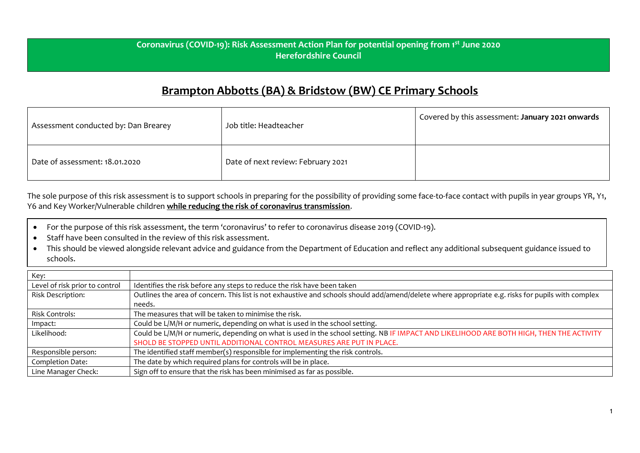## **Coronavirus (COVID-19): Risk Assessment Action Plan for potential opening from 1st June 2020 Herefordshire Council**

## **Brampton Abbotts (BA) & Bridstow (BW) CE Primary Schools**

| Assessment conducted by: Dan Brearey | Job title: Headteacher             | Covered by this assessment: January 2021 onwards |
|--------------------------------------|------------------------------------|--------------------------------------------------|
| Date of assessment: 18.01.2020       | Date of next review: February 2021 |                                                  |

The sole purpose of this risk assessment is to support schools in preparing for the possibility of providing some face-to-face contact with pupils in year groups YR, Y1, Y6 and Key Worker/Vulnerable children **while reducing the risk of coronavirus transmission**.

- For the purpose of this risk assessment, the term 'coronavirus' to refer to coronavirus disease 2019 (COVID-19).
- Staff have been consulted in the review of this risk assessment.
- This should be viewed alongside relevant advice and guidance from the Department of Education and reflect any additional subsequent guidance issued to schools.

| Key:                           |                                                                                                                                                    |
|--------------------------------|----------------------------------------------------------------------------------------------------------------------------------------------------|
| Level of risk prior to control | Identifies the risk before any steps to reduce the risk have been taken                                                                            |
| Risk Description:              | Outlines the area of concern. This list is not exhaustive and schools should add/amend/delete where appropriate e.g. risks for pupils with complex |
|                                | needs.                                                                                                                                             |
| <b>Risk Controls:</b>          | The measures that will be taken to minimise the risk.                                                                                              |
| Impact:                        | Could be L/M/H or numeric, depending on what is used in the school setting.                                                                        |
| Likelihood:                    | Could be L/M/H or numeric, depending on what is used in the school setting. NB IF IMPACT AND LIKELIHOOD ARE BOTH HIGH, THEN THE ACTIVITY           |
|                                | SHOLD BE STOPPED UNTIL ADDITIONAL CONTROL MEASURES ARE PUT IN PLACE.                                                                               |
| Responsible person:            | The identified staff member(s) responsible for implementing the risk controls.                                                                     |
| Completion Date:               | The date by which required plans for controls will be in place.                                                                                    |
| Line Manager Check:            | Sign off to ensure that the risk has been minimised as far as possible.                                                                            |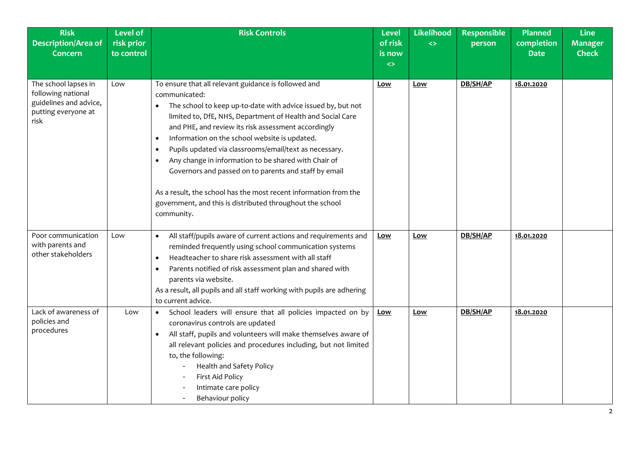| <b>Risk</b><br><b>Description/Area of</b><br><b>Concern</b>                                         | <b>Level of</b><br>risk prior<br>to control | <b>Risk Controls</b>                                                                                                                                                                                                                                                                                                                                                                                                                                                                                                                                                                                                                                                         | <b>Level</b><br>of risk<br>is now<br>$\leftrightarrow$ | Likelihood<br>$\leftrightarrow$ | <b>Responsible</b><br>person | <b>Planned</b><br>completion<br><b>Date</b> | <b>Line</b><br><b>Manager</b><br><b>Check</b> |
|-----------------------------------------------------------------------------------------------------|---------------------------------------------|------------------------------------------------------------------------------------------------------------------------------------------------------------------------------------------------------------------------------------------------------------------------------------------------------------------------------------------------------------------------------------------------------------------------------------------------------------------------------------------------------------------------------------------------------------------------------------------------------------------------------------------------------------------------------|--------------------------------------------------------|---------------------------------|------------------------------|---------------------------------------------|-----------------------------------------------|
| The school lapses in<br>following national<br>guidelines and advice,<br>putting everyone at<br>risk | Low                                         | To ensure that all relevant guidance is followed and<br>communicated:<br>The school to keep up-to-date with advice issued by, but not<br>limited to, DfE, NHS, Department of Health and Social Care<br>and PHE, and review its risk assessment accordingly<br>Information on the school website is updated.<br>$\bullet$<br>Pupils updated via classrooms/email/text as necessary.<br>$\bullet$<br>Any change in information to be shared with Chair of<br>$\bullet$<br>Governors and passed on to parents and staff by email<br>As a result, the school has the most recent information from the<br>government, and this is distributed throughout the school<br>community. | <u>Low</u>                                             | <b>Low</b>                      | DB/SH/AP                     | 18.01.2020                                  |                                               |
| Poor communication<br>with parents and<br>other stakeholders                                        | Low                                         | All staff/pupils aware of current actions and requirements and<br>$\bullet$<br>reminded frequently using school communication systems<br>Headteacher to share risk assessment with all staff<br>$\bullet$<br>Parents notified of risk assessment plan and shared with<br>$\bullet$<br>parents via website.<br>As a result, all pupils and all staff working with pupils are adhering<br>to current advice.                                                                                                                                                                                                                                                                   | <u>Low</u>                                             | Low                             | DB/SH/AP                     | 18.01.2020                                  |                                               |
| Lack of awareness of<br>policies and<br>procedures                                                  | Low                                         | School leaders will ensure that all policies impacted on by<br>$\bullet$<br>coronavirus controls are updated<br>All staff, pupils and volunteers will make themselves aware of<br>$\bullet$<br>all relevant policies and procedures including, but not limited<br>to, the following:<br>Health and Safety Policy<br>First Aid Policy<br>Intimate care policy<br>Behaviour policy                                                                                                                                                                                                                                                                                             | <u>Low</u>                                             | Low                             | DB/SH/AP                     | 18.01.2020                                  |                                               |

2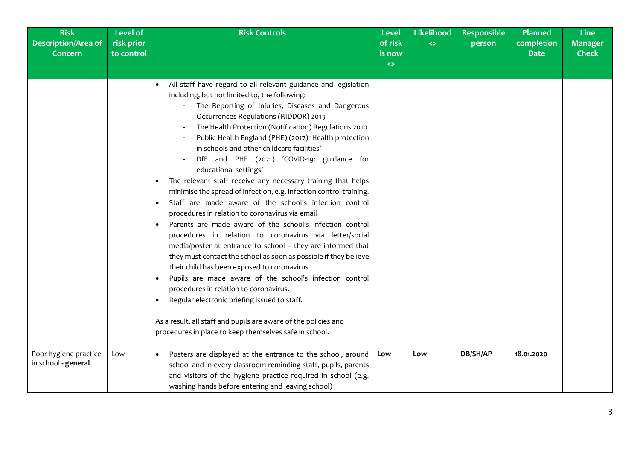| <b>Risk</b><br><b>Description/Area of</b><br><b>Concern</b> | <b>Level of</b><br>risk prior<br>to control | <b>Risk Controls</b>                                                                                                                                                                                                                                                                                                                                                                                                                                                                                                                                                                                                                                                                                                                                                                                                                                                                                                                                                                                                                                                                                                                                                                                                                                                                                                                                   | <b>Level</b><br>of risk<br>is now<br>$\leftrightarrow$ | Likelihood<br>$\leftrightarrow$ | <b>Responsible</b><br>person | <b>Planned</b><br>completion<br><b>Date</b> | <b>Line</b><br><b>Manager</b><br><b>Check</b> |
|-------------------------------------------------------------|---------------------------------------------|--------------------------------------------------------------------------------------------------------------------------------------------------------------------------------------------------------------------------------------------------------------------------------------------------------------------------------------------------------------------------------------------------------------------------------------------------------------------------------------------------------------------------------------------------------------------------------------------------------------------------------------------------------------------------------------------------------------------------------------------------------------------------------------------------------------------------------------------------------------------------------------------------------------------------------------------------------------------------------------------------------------------------------------------------------------------------------------------------------------------------------------------------------------------------------------------------------------------------------------------------------------------------------------------------------------------------------------------------------|--------------------------------------------------------|---------------------------------|------------------------------|---------------------------------------------|-----------------------------------------------|
|                                                             |                                             | All staff have regard to all relevant guidance and legislation<br>including, but not limited to, the following:<br>The Reporting of Injuries, Diseases and Dangerous<br>Occurrences Regulations (RIDDOR) 2013<br>The Health Protection (Notification) Regulations 2010<br>Public Health England (PHE) (2017) 'Health protection<br>in schools and other childcare facilities'<br>DfE and PHE (2021) 'COVID-19: guidance for<br>educational settings'<br>The relevant staff receive any necessary training that helps<br>minimise the spread of infection, e.g. infection control training.<br>Staff are made aware of the school's infection control<br>$\bullet$<br>procedures in relation to coronavirus via email<br>Parents are made aware of the school's infection control<br>$\bullet$<br>procedures in relation to coronavirus via letter/social<br>media/poster at entrance to school - they are informed that<br>they must contact the school as soon as possible if they believe<br>their child has been exposed to coronavirus<br>Pupils are made aware of the school's infection control<br>$\bullet$<br>procedures in relation to coronavirus.<br>Regular electronic briefing issued to staff.<br>$\bullet$<br>As a result, all staff and pupils are aware of the policies and<br>procedures in place to keep themselves safe in school. |                                                        |                                 |                              |                                             |                                               |
| Poor hygiene practice<br>in school - general                | Low                                         | Posters are displayed at the entrance to the school, around<br>$\bullet$<br>school and in every classroom reminding staff, pupils, parents<br>and visitors of the hygiene practice required in school (e.g.<br>washing hands before entering and leaving school)                                                                                                                                                                                                                                                                                                                                                                                                                                                                                                                                                                                                                                                                                                                                                                                                                                                                                                                                                                                                                                                                                       | Low                                                    | Low                             | DB/SH/AP                     | 18.01.2020                                  |                                               |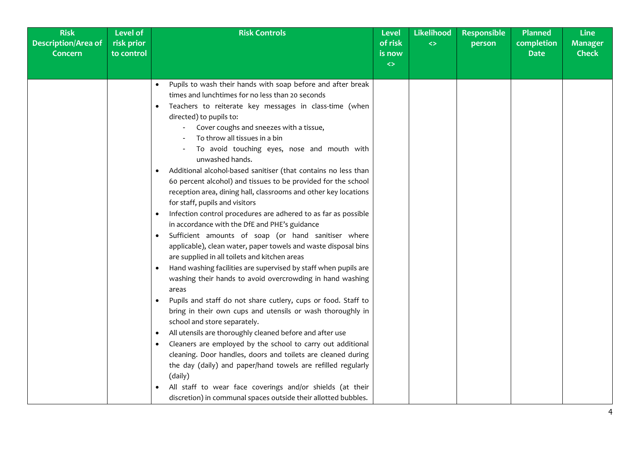| <b>Risk</b><br><b>Description/Area of</b><br><b>Concern</b> | Level of<br>risk prior<br>to control | <b>Risk Controls</b>                                                                                                                                                                                                                                                                                                                                                                                                                                                                                                                                                                                                                                                                                                                                                                                                                                                                                                                                                                                                                                                                                                                                                                                                                                                                                                                                                                                                                                                                                                                                                                                                                                                                                                      | <b>Level</b><br>of risk<br>is now<br>$\leftrightarrow$ | <b>Likelihood</b><br>$\leftrightarrow$ | <b>Responsible</b><br>person | <b>Planned</b><br>completion<br><b>Date</b> | <b>Line</b><br><b>Manager</b><br><b>Check</b> |
|-------------------------------------------------------------|--------------------------------------|---------------------------------------------------------------------------------------------------------------------------------------------------------------------------------------------------------------------------------------------------------------------------------------------------------------------------------------------------------------------------------------------------------------------------------------------------------------------------------------------------------------------------------------------------------------------------------------------------------------------------------------------------------------------------------------------------------------------------------------------------------------------------------------------------------------------------------------------------------------------------------------------------------------------------------------------------------------------------------------------------------------------------------------------------------------------------------------------------------------------------------------------------------------------------------------------------------------------------------------------------------------------------------------------------------------------------------------------------------------------------------------------------------------------------------------------------------------------------------------------------------------------------------------------------------------------------------------------------------------------------------------------------------------------------------------------------------------------------|--------------------------------------------------------|----------------------------------------|------------------------------|---------------------------------------------|-----------------------------------------------|
|                                                             |                                      | Pupils to wash their hands with soap before and after break<br>$\bullet$<br>times and lunchtimes for no less than 20 seconds<br>Teachers to reiterate key messages in class-time (when<br>$\bullet$<br>directed) to pupils to:<br>Cover coughs and sneezes with a tissue,<br>To throw all tissues in a bin<br>To avoid touching eyes, nose and mouth with<br>unwashed hands.<br>Additional alcohol-based sanitiser (that contains no less than<br>$\bullet$<br>60 percent alcohol) and tissues to be provided for the school<br>reception area, dining hall, classrooms and other key locations<br>for staff, pupils and visitors<br>Infection control procedures are adhered to as far as possible<br>$\bullet$<br>in accordance with the DfE and PHE's guidance<br>Sufficient amounts of soap (or hand sanitiser where<br>$\bullet$<br>applicable), clean water, paper towels and waste disposal bins<br>are supplied in all toilets and kitchen areas<br>Hand washing facilities are supervised by staff when pupils are<br>$\bullet$<br>washing their hands to avoid overcrowding in hand washing<br>areas<br>Pupils and staff do not share cutlery, cups or food. Staff to<br>$\bullet$<br>bring in their own cups and utensils or wash thoroughly in<br>school and store separately.<br>All utensils are thoroughly cleaned before and after use<br>$\bullet$<br>Cleaners are employed by the school to carry out additional<br>$\bullet$<br>cleaning. Door handles, doors and toilets are cleaned during<br>the day (daily) and paper/hand towels are refilled regularly<br>(daily)<br>All staff to wear face coverings and/or shields (at their<br>discretion) in communal spaces outside their allotted bubbles. |                                                        |                                        |                              |                                             |                                               |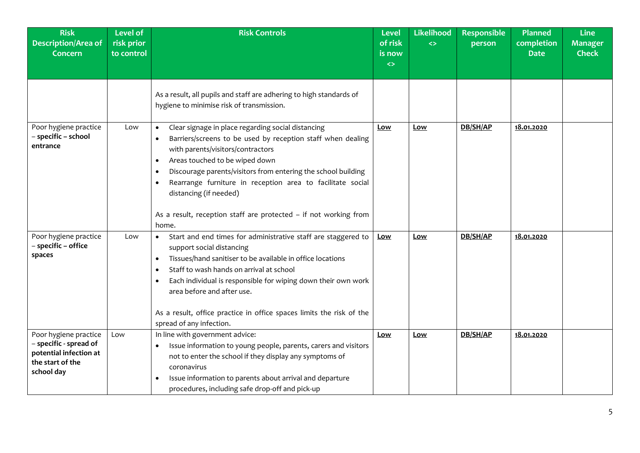| <b>Risk</b><br><b>Description/Area of</b><br><b>Concern</b>                                                 | <b>Level of</b><br>risk prior<br>to control | <b>Risk Controls</b>                                                                                                                                                                                                                                                                                                                                                                                                                                                                            | <b>Level</b><br>of risk<br>is now<br>$\leftrightarrow$ | Likelihood<br>$\leftrightarrow$ | <b>Responsible</b><br>person | <b>Planned</b><br>completion<br><b>Date</b> | <b>Line</b><br><b>Manager</b><br><b>Check</b> |
|-------------------------------------------------------------------------------------------------------------|---------------------------------------------|-------------------------------------------------------------------------------------------------------------------------------------------------------------------------------------------------------------------------------------------------------------------------------------------------------------------------------------------------------------------------------------------------------------------------------------------------------------------------------------------------|--------------------------------------------------------|---------------------------------|------------------------------|---------------------------------------------|-----------------------------------------------|
|                                                                                                             |                                             | As a result, all pupils and staff are adhering to high standards of<br>hygiene to minimise risk of transmission.                                                                                                                                                                                                                                                                                                                                                                                |                                                        |                                 |                              |                                             |                                               |
| Poor hygiene practice<br>- specific - school<br>entrance                                                    | Low                                         | Clear signage in place regarding social distancing<br>$\bullet$<br>Barriers/screens to be used by reception staff when dealing<br>$\bullet$<br>with parents/visitors/contractors<br>Areas touched to be wiped down<br>$\bullet$<br>Discourage parents/visitors from entering the school building<br>$\bullet$<br>Rearrange furniture in reception area to facilitate social<br>$\bullet$<br>distancing (if needed)<br>As a result, reception staff are protected - if not working from<br>home. | Low                                                    | <u>Low</u>                      | DB/SH/AP                     | 18.01.2020                                  |                                               |
| Poor hygiene practice<br>- specific - office<br>spaces                                                      | Low                                         | Start and end times for administrative staff are staggered to<br>$\bullet$<br>support social distancing<br>Tissues/hand sanitiser to be available in office locations<br>$\bullet$<br>Staff to wash hands on arrival at school<br>$\bullet$<br>Each individual is responsible for wiping down their own work<br>$\bullet$<br>area before and after use.<br>As a result, office practice in office spaces limits the risk of the<br>spread of any infection.                                     | Low                                                    | Low                             | DB/SH/AP                     | 18.01.2020                                  |                                               |
| Poor hygiene practice<br>- specific - spread of<br>potential infection at<br>the start of the<br>school day | Low                                         | In line with government advice:<br>Issue information to young people, parents, carers and visitors<br>٠<br>not to enter the school if they display any symptoms of<br>coronavirus<br>Issue information to parents about arrival and departure<br>$\bullet$<br>procedures, including safe drop-off and pick-up                                                                                                                                                                                   | <u>Low</u>                                             | Low                             | DB/SH/AP                     | 18.01.2020                                  |                                               |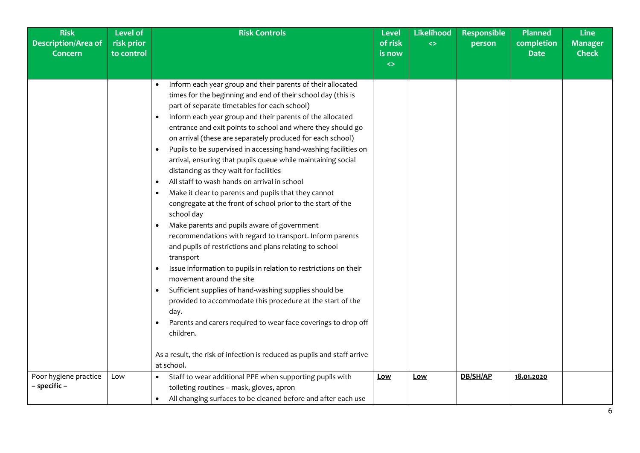| <b>Risk</b>                | <b>Level of</b> | <b>Risk Controls</b>                                                                                                                                                                                                                                                                                                                                                                                                                                                                                                                                                                                                                                                                                                                                                                                                                                                                                                                                                                                                                                                                                                                                                                                                                                                                                       | <b>Level</b>      | Likelihood        | <b>Responsible</b> | <b>Planned</b> | <b>Line</b>    |
|----------------------------|-----------------|------------------------------------------------------------------------------------------------------------------------------------------------------------------------------------------------------------------------------------------------------------------------------------------------------------------------------------------------------------------------------------------------------------------------------------------------------------------------------------------------------------------------------------------------------------------------------------------------------------------------------------------------------------------------------------------------------------------------------------------------------------------------------------------------------------------------------------------------------------------------------------------------------------------------------------------------------------------------------------------------------------------------------------------------------------------------------------------------------------------------------------------------------------------------------------------------------------------------------------------------------------------------------------------------------------|-------------------|-------------------|--------------------|----------------|----------------|
| <b>Description/Area of</b> | risk prior      |                                                                                                                                                                                                                                                                                                                                                                                                                                                                                                                                                                                                                                                                                                                                                                                                                                                                                                                                                                                                                                                                                                                                                                                                                                                                                                            | of risk           | $\leftrightarrow$ | person             | completion     | <b>Manager</b> |
| <b>Concern</b>             | to control      |                                                                                                                                                                                                                                                                                                                                                                                                                                                                                                                                                                                                                                                                                                                                                                                                                                                                                                                                                                                                                                                                                                                                                                                                                                                                                                            | is now            |                   |                    | <b>Date</b>    | <b>Check</b>   |
|                            |                 |                                                                                                                                                                                                                                                                                                                                                                                                                                                                                                                                                                                                                                                                                                                                                                                                                                                                                                                                                                                                                                                                                                                                                                                                                                                                                                            | $\leftrightarrow$ |                   |                    |                |                |
|                            |                 | Inform each year group and their parents of their allocated<br>times for the beginning and end of their school day (this is<br>part of separate timetables for each school)<br>Inform each year group and their parents of the allocated<br>entrance and exit points to school and where they should go<br>on arrival (these are separately produced for each school)<br>Pupils to be supervised in accessing hand-washing facilities on<br>$\bullet$<br>arrival, ensuring that pupils queue while maintaining social<br>distancing as they wait for facilities<br>All staff to wash hands on arrival in school<br>$\bullet$<br>Make it clear to parents and pupils that they cannot<br>$\bullet$<br>congregate at the front of school prior to the start of the<br>school day<br>Make parents and pupils aware of government<br>$\bullet$<br>recommendations with regard to transport. Inform parents<br>and pupils of restrictions and plans relating to school<br>transport<br>Issue information to pupils in relation to restrictions on their<br>movement around the site<br>Sufficient supplies of hand-washing supplies should be<br>$\bullet$<br>provided to accommodate this procedure at the start of the<br>day.<br>Parents and carers required to wear face coverings to drop off<br>children. |                   |                   |                    |                |                |
|                            |                 | As a result, the risk of infection is reduced as pupils and staff arrive                                                                                                                                                                                                                                                                                                                                                                                                                                                                                                                                                                                                                                                                                                                                                                                                                                                                                                                                                                                                                                                                                                                                                                                                                                   |                   |                   |                    |                |                |
|                            |                 | at school.                                                                                                                                                                                                                                                                                                                                                                                                                                                                                                                                                                                                                                                                                                                                                                                                                                                                                                                                                                                                                                                                                                                                                                                                                                                                                                 |                   |                   |                    |                |                |
| Poor hygiene practice      | Low             | Staff to wear additional PPE when supporting pupils with                                                                                                                                                                                                                                                                                                                                                                                                                                                                                                                                                                                                                                                                                                                                                                                                                                                                                                                                                                                                                                                                                                                                                                                                                                                   | <u>Low</u>        | <u>Low</u>        | DB/SH/AP           | 18.01.2020     |                |
| - specific -               |                 | toileting routines - mask, gloves, apron                                                                                                                                                                                                                                                                                                                                                                                                                                                                                                                                                                                                                                                                                                                                                                                                                                                                                                                                                                                                                                                                                                                                                                                                                                                                   |                   |                   |                    |                |                |
|                            |                 | All changing surfaces to be cleaned before and after each use<br>$\bullet$                                                                                                                                                                                                                                                                                                                                                                                                                                                                                                                                                                                                                                                                                                                                                                                                                                                                                                                                                                                                                                                                                                                                                                                                                                 |                   |                   |                    |                |                |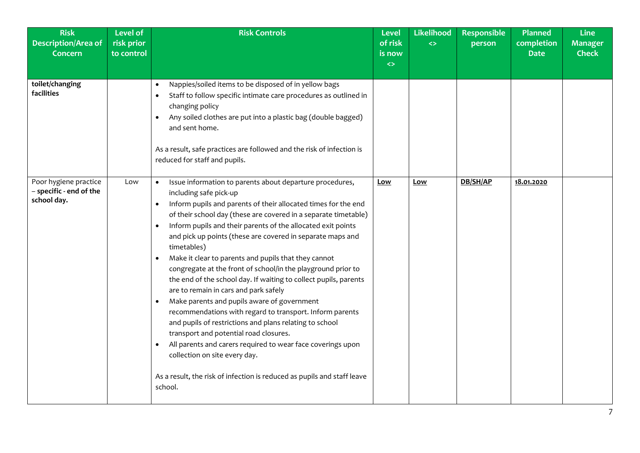| <b>Risk</b><br><b>Description/Area of</b><br><b>Concern</b>     | <b>Level of</b><br>risk prior<br>to control | <b>Risk Controls</b>                                                                                                                                                                                                                                                                                                                                                                                                                                                                                                                                                                                                                                                                                                                                                                                                                                                                                                                                                                                                                                                             | <b>Level</b><br>of risk<br>is now<br>$\leftrightarrow$ | Likelihood<br>$\leftrightarrow$ | <b>Responsible</b><br>person | <b>Planned</b><br>completion<br><b>Date</b> | <b>Line</b><br><b>Manager</b><br><b>Check</b> |
|-----------------------------------------------------------------|---------------------------------------------|----------------------------------------------------------------------------------------------------------------------------------------------------------------------------------------------------------------------------------------------------------------------------------------------------------------------------------------------------------------------------------------------------------------------------------------------------------------------------------------------------------------------------------------------------------------------------------------------------------------------------------------------------------------------------------------------------------------------------------------------------------------------------------------------------------------------------------------------------------------------------------------------------------------------------------------------------------------------------------------------------------------------------------------------------------------------------------|--------------------------------------------------------|---------------------------------|------------------------------|---------------------------------------------|-----------------------------------------------|
| toilet/changing<br>facilities                                   |                                             | Nappies/soiled items to be disposed of in yellow bags<br>$\bullet$<br>Staff to follow specific intimate care procedures as outlined in<br>$\bullet$<br>changing policy<br>Any soiled clothes are put into a plastic bag (double bagged)<br>$\bullet$<br>and sent home.<br>As a result, safe practices are followed and the risk of infection is<br>reduced for staff and pupils.                                                                                                                                                                                                                                                                                                                                                                                                                                                                                                                                                                                                                                                                                                 |                                                        |                                 |                              |                                             |                                               |
| Poor hygiene practice<br>- specific - end of the<br>school day. | Low                                         | Issue information to parents about departure procedures,<br>including safe pick-up<br>Inform pupils and parents of their allocated times for the end<br>$\bullet$<br>of their school day (these are covered in a separate timetable)<br>Inform pupils and their parents of the allocated exit points<br>$\bullet$<br>and pick up points (these are covered in separate maps and<br>timetables)<br>Make it clear to parents and pupils that they cannot<br>$\bullet$<br>congregate at the front of school/in the playground prior to<br>the end of the school day. If waiting to collect pupils, parents<br>are to remain in cars and park safely<br>Make parents and pupils aware of government<br>$\bullet$<br>recommendations with regard to transport. Inform parents<br>and pupils of restrictions and plans relating to school<br>transport and potential road closures.<br>All parents and carers required to wear face coverings upon<br>$\bullet$<br>collection on site every day.<br>As a result, the risk of infection is reduced as pupils and staff leave<br>school. | Low                                                    | Low                             | DB/SH/AP                     | 18.01.2020                                  |                                               |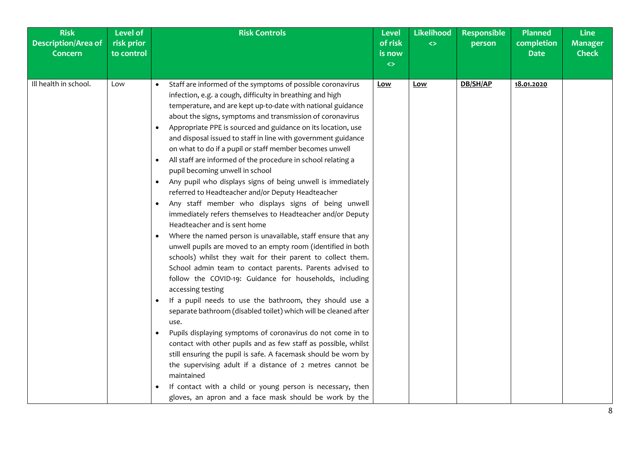| <b>Risk</b><br><b>Description/Area of</b><br><b>Concern</b> | <b>Level of</b><br>risk prior<br>to control | <b>Risk Controls</b>                                                                                                                                                                                                                                                                                                                                                                                                                                                                                                                                                                                                                                                                                                                                                                                                                                                                                                                                                                                                                                                                                                                                                                                                                                                                                                                                                                                                                                                                                                                                                                                                                                                                                                                                                        | <b>Level</b><br>of risk<br>is now<br>$\leftrightarrow$ | Likelihood<br>$\Leftrightarrow$ | <b>Responsible</b><br>person | <b>Planned</b><br>completion<br><b>Date</b> | <b>Line</b><br><b>Manager</b><br><b>Check</b> |
|-------------------------------------------------------------|---------------------------------------------|-----------------------------------------------------------------------------------------------------------------------------------------------------------------------------------------------------------------------------------------------------------------------------------------------------------------------------------------------------------------------------------------------------------------------------------------------------------------------------------------------------------------------------------------------------------------------------------------------------------------------------------------------------------------------------------------------------------------------------------------------------------------------------------------------------------------------------------------------------------------------------------------------------------------------------------------------------------------------------------------------------------------------------------------------------------------------------------------------------------------------------------------------------------------------------------------------------------------------------------------------------------------------------------------------------------------------------------------------------------------------------------------------------------------------------------------------------------------------------------------------------------------------------------------------------------------------------------------------------------------------------------------------------------------------------------------------------------------------------------------------------------------------------|--------------------------------------------------------|---------------------------------|------------------------------|---------------------------------------------|-----------------------------------------------|
| Ill health in school.                                       | Low                                         | Staff are informed of the symptoms of possible coronavirus<br>infection, e.g. a cough, difficulty in breathing and high<br>temperature, and are kept up-to-date with national guidance<br>about the signs, symptoms and transmission of coronavirus<br>Appropriate PPE is sourced and guidance on its location, use<br>٠<br>and disposal issued to staff in line with government guidance<br>on what to do if a pupil or staff member becomes unwell<br>All staff are informed of the procedure in school relating a<br>pupil becoming unwell in school<br>Any pupil who displays signs of being unwell is immediately<br>referred to Headteacher and/or Deputy Headteacher<br>Any staff member who displays signs of being unwell<br>$\bullet$<br>immediately refers themselves to Headteacher and/or Deputy<br>Headteacher and is sent home<br>Where the named person is unavailable, staff ensure that any<br>$\bullet$<br>unwell pupils are moved to an empty room (identified in both<br>schools) whilst they wait for their parent to collect them.<br>School admin team to contact parents. Parents advised to<br>follow the COVID-19: Guidance for households, including<br>accessing testing<br>If a pupil needs to use the bathroom, they should use a<br>$\bullet$<br>separate bathroom (disabled toilet) which will be cleaned after<br>use.<br>Pupils displaying symptoms of coronavirus do not come in to<br>$\bullet$<br>contact with other pupils and as few staff as possible, whilst<br>still ensuring the pupil is safe. A facemask should be worn by<br>the supervising adult if a distance of 2 metres cannot be<br>maintained<br>If contact with a child or young person is necessary, then<br>gloves, an apron and a face mask should be work by the | <u>Low</u>                                             | Low                             | DB/SH/AP                     | 18.01.2020                                  |                                               |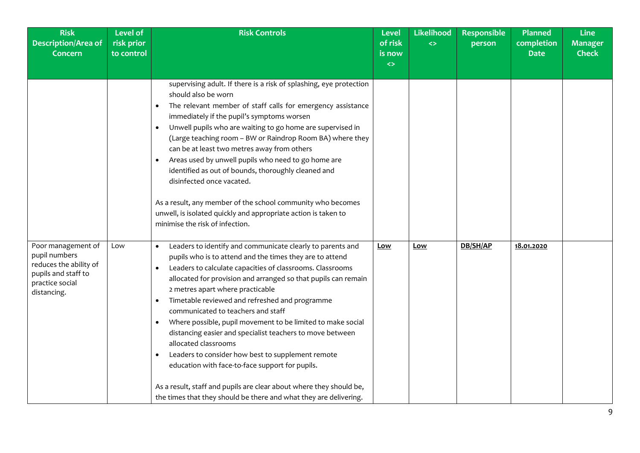| <b>Risk</b><br><b>Description/Area of</b><br><b>Concern</b>                                                            | <b>Level of</b><br>risk prior<br>to control | <b>Risk Controls</b>                                                                                                                                                                                                                                                                                                                                                                                                                                                                                                                                                                                                                                                                                                                                                                                                                               | <b>Level</b><br>of risk<br>is now<br>$\leftrightarrow$ | Likelihood<br>$\leftrightarrow$ | <b>Responsible</b><br>person | <b>Planned</b><br>completion<br><b>Date</b> | <b>Line</b><br><b>Manager</b><br><b>Check</b> |
|------------------------------------------------------------------------------------------------------------------------|---------------------------------------------|----------------------------------------------------------------------------------------------------------------------------------------------------------------------------------------------------------------------------------------------------------------------------------------------------------------------------------------------------------------------------------------------------------------------------------------------------------------------------------------------------------------------------------------------------------------------------------------------------------------------------------------------------------------------------------------------------------------------------------------------------------------------------------------------------------------------------------------------------|--------------------------------------------------------|---------------------------------|------------------------------|---------------------------------------------|-----------------------------------------------|
|                                                                                                                        |                                             | supervising adult. If there is a risk of splashing, eye protection<br>should also be worn<br>The relevant member of staff calls for emergency assistance<br>٠<br>immediately if the pupil's symptoms worsen<br>Unwell pupils who are waiting to go home are supervised in<br>$\bullet$<br>(Large teaching room - BW or Raindrop Room BA) where they<br>can be at least two metres away from others<br>Areas used by unwell pupils who need to go home are<br>$\bullet$<br>identified as out of bounds, thoroughly cleaned and<br>disinfected once vacated.<br>As a result, any member of the school community who becomes<br>unwell, is isolated quickly and appropriate action is taken to<br>minimise the risk of infection.                                                                                                                     |                                                        |                                 |                              |                                             |                                               |
| Poor management of<br>pupil numbers<br>reduces the ability of<br>pupils and staff to<br>practice social<br>distancing. | Low                                         | Leaders to identify and communicate clearly to parents and<br>$\bullet$<br>pupils who is to attend and the times they are to attend<br>Leaders to calculate capacities of classrooms. Classrooms<br>$\bullet$<br>allocated for provision and arranged so that pupils can remain<br>2 metres apart where practicable<br>Timetable reviewed and refreshed and programme<br>٠<br>communicated to teachers and staff<br>Where possible, pupil movement to be limited to make social<br>$\bullet$<br>distancing easier and specialist teachers to move between<br>allocated classrooms<br>Leaders to consider how best to supplement remote<br>$\bullet$<br>education with face-to-face support for pupils.<br>As a result, staff and pupils are clear about where they should be,<br>the times that they should be there and what they are delivering. | <u>Low</u>                                             | <u>Low</u>                      | DB/SH/AP                     | 18.01.2020                                  |                                               |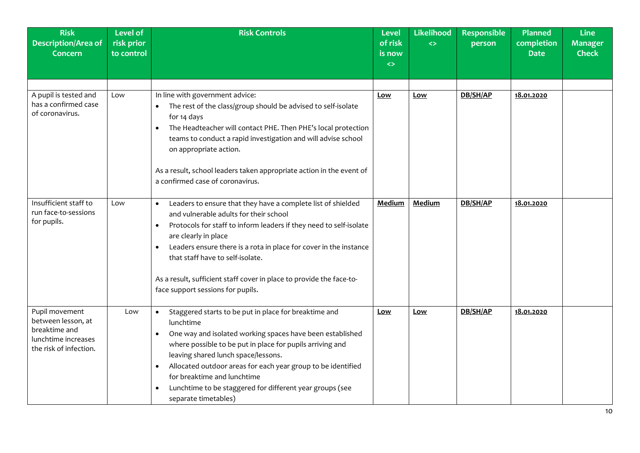| <b>Risk</b><br><b>Description/Area of</b><br><b>Concern</b>                                            | <b>Level of</b><br>risk prior<br>to control | <b>Risk Controls</b>                                                                                                                                                                                                                                                                                                                                                                                                                                              | Level<br>of risk<br>is now<br>$\leftrightarrow$ | Likelihood<br>$\leftrightarrow$ | <b>Responsible</b><br>person | Planned<br>completion<br><b>Date</b> | <b>Line</b><br><b>Manager</b><br><b>Check</b> |
|--------------------------------------------------------------------------------------------------------|---------------------------------------------|-------------------------------------------------------------------------------------------------------------------------------------------------------------------------------------------------------------------------------------------------------------------------------------------------------------------------------------------------------------------------------------------------------------------------------------------------------------------|-------------------------------------------------|---------------------------------|------------------------------|--------------------------------------|-----------------------------------------------|
| A pupil is tested and<br>has a confirmed case<br>of coronavirus.                                       | Low                                         | In line with government advice:<br>The rest of the class/group should be advised to self-isolate<br>$\bullet$<br>for 14 days<br>The Headteacher will contact PHE. Then PHE's local protection<br>$\bullet$<br>teams to conduct a rapid investigation and will advise school<br>on appropriate action.<br>As a result, school leaders taken appropriate action in the event of<br>a confirmed case of coronavirus.                                                 | Low                                             | Low                             | DB/SH/AP                     | 18.01.2020                           |                                               |
| Insufficient staff to<br>run face-to-sessions<br>for pupils.                                           | Low                                         | Leaders to ensure that they have a complete list of shielded<br>$\bullet$<br>and vulnerable adults for their school<br>Protocols for staff to inform leaders if they need to self-isolate<br>$\bullet$<br>are clearly in place<br>Leaders ensure there is a rota in place for cover in the instance<br>$\bullet$<br>that staff have to self-isolate.<br>As a result, sufficient staff cover in place to provide the face-to-<br>face support sessions for pupils. | Medium                                          | <b>Medium</b>                   | DB/SH/AP                     | 18.01.2020                           |                                               |
| Pupil movement<br>between lesson, at<br>breaktime and<br>lunchtime increases<br>the risk of infection. | Low                                         | Staggered starts to be put in place for breaktime and<br>lunchtime<br>One way and isolated working spaces have been established<br>$\bullet$<br>where possible to be put in place for pupils arriving and<br>leaving shared lunch space/lessons.<br>Allocated outdoor areas for each year group to be identified<br>$\bullet$<br>for breaktime and lunchtime<br>Lunchtime to be staggered for different year groups (see<br>$\bullet$<br>separate timetables)     | Low                                             | <u>Low</u>                      | DB/SH/AP                     | 18.01.2020                           |                                               |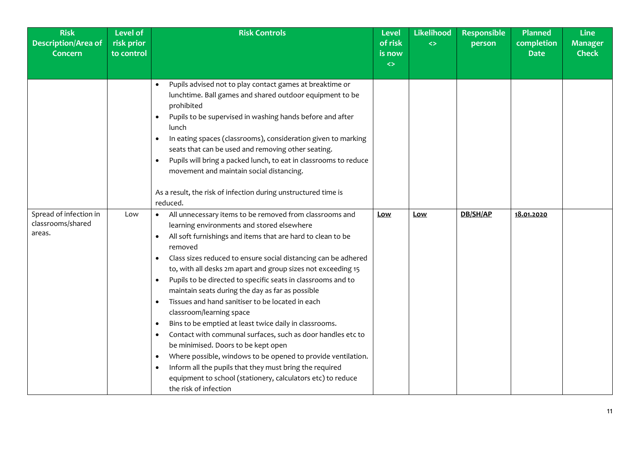| <b>Risk</b><br>Description/Area of<br><b>Concern</b> | <b>Level of</b><br>risk prior<br>to control | <b>Risk Controls</b>                                                                                                                                                                                                                                                                                                                                                                                                                                                                                                                                                                                                                                                                                                                                                                                                                                                                                                                     | <b>Level</b><br>of risk<br>is now<br>$\leftrightarrow$ | <b>Likelihood</b><br>$\leftrightarrow$ | <b>Responsible</b><br>person | <b>Planned</b><br>completion<br><b>Date</b> | <b>Line</b><br><b>Manager</b><br><b>Check</b> |
|------------------------------------------------------|---------------------------------------------|------------------------------------------------------------------------------------------------------------------------------------------------------------------------------------------------------------------------------------------------------------------------------------------------------------------------------------------------------------------------------------------------------------------------------------------------------------------------------------------------------------------------------------------------------------------------------------------------------------------------------------------------------------------------------------------------------------------------------------------------------------------------------------------------------------------------------------------------------------------------------------------------------------------------------------------|--------------------------------------------------------|----------------------------------------|------------------------------|---------------------------------------------|-----------------------------------------------|
| Spread of infection in                               | Low                                         | Pupils advised not to play contact games at breaktime or<br>lunchtime. Ball games and shared outdoor equipment to be<br>prohibited<br>Pupils to be supervised in washing hands before and after<br>$\bullet$<br>lunch<br>In eating spaces (classrooms), consideration given to marking<br>$\bullet$<br>seats that can be used and removing other seating.<br>Pupils will bring a packed lunch, to eat in classrooms to reduce<br>$\bullet$<br>movement and maintain social distancing.<br>As a result, the risk of infection during unstructured time is<br>reduced.<br>All unnecessary items to be removed from classrooms and                                                                                                                                                                                                                                                                                                          | Low                                                    | Low                                    | DB/SH/AP                     | 18.01.2020                                  |                                               |
| classrooms/shared<br>areas.                          |                                             | learning environments and stored elsewhere<br>All soft furnishings and items that are hard to clean to be<br>$\bullet$<br>removed<br>Class sizes reduced to ensure social distancing can be adhered<br>$\bullet$<br>to, with all desks 2m apart and group sizes not exceeding 15<br>Pupils to be directed to specific seats in classrooms and to<br>$\bullet$<br>maintain seats during the day as far as possible<br>Tissues and hand sanitiser to be located in each<br>$\bullet$<br>classroom/learning space<br>Bins to be emptied at least twice daily in classrooms.<br>$\bullet$<br>Contact with communal surfaces, such as door handles etc to<br>$\bullet$<br>be minimised. Doors to be kept open<br>Where possible, windows to be opened to provide ventilation.<br>$\bullet$<br>Inform all the pupils that they must bring the required<br>equipment to school (stationery, calculators etc) to reduce<br>the risk of infection |                                                        |                                        |                              |                                             |                                               |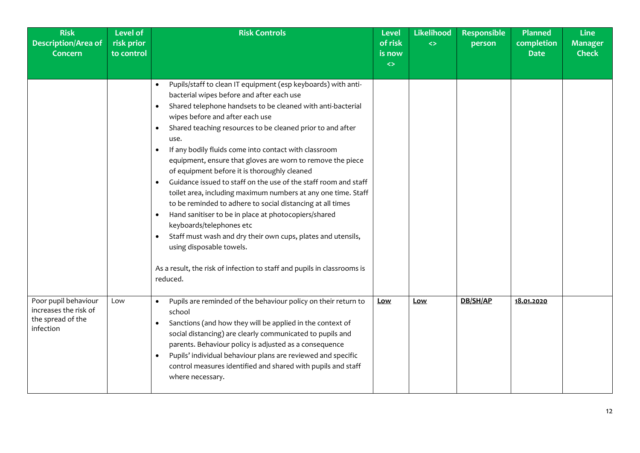| <b>Risk</b><br><b>Description/Area of</b><br><b>Concern</b>                     | <b>Level of</b><br>risk prior<br>to control | <b>Risk Controls</b>                                                                                                                                                                                                                                                                                                                                                                                                                                                                                                                                                                                                                                                                                                                                                                                                                                                                                                                                                                                             | <b>Level</b><br>of risk<br>is now<br>$\leftrightarrow$ | Likelihood<br>$\Leftrightarrow$ | <b>Responsible</b><br>person | <b>Planned</b><br>completion<br><b>Date</b> | <b>Line</b><br><b>Manager</b><br><b>Check</b> |
|---------------------------------------------------------------------------------|---------------------------------------------|------------------------------------------------------------------------------------------------------------------------------------------------------------------------------------------------------------------------------------------------------------------------------------------------------------------------------------------------------------------------------------------------------------------------------------------------------------------------------------------------------------------------------------------------------------------------------------------------------------------------------------------------------------------------------------------------------------------------------------------------------------------------------------------------------------------------------------------------------------------------------------------------------------------------------------------------------------------------------------------------------------------|--------------------------------------------------------|---------------------------------|------------------------------|---------------------------------------------|-----------------------------------------------|
|                                                                                 |                                             | Pupils/staff to clean IT equipment (esp keyboards) with anti-<br>bacterial wipes before and after each use<br>Shared telephone handsets to be cleaned with anti-bacterial<br>$\bullet$<br>wipes before and after each use<br>Shared teaching resources to be cleaned prior to and after<br>$\bullet$<br>use.<br>If any bodily fluids come into contact with classroom<br>$\bullet$<br>equipment, ensure that gloves are worn to remove the piece<br>of equipment before it is thoroughly cleaned<br>Guidance issued to staff on the use of the staff room and staff<br>$\bullet$<br>toilet area, including maximum numbers at any one time. Staff<br>to be reminded to adhere to social distancing at all times<br>Hand sanitiser to be in place at photocopiers/shared<br>$\bullet$<br>keyboards/telephones etc<br>Staff must wash and dry their own cups, plates and utensils,<br>$\bullet$<br>using disposable towels.<br>As a result, the risk of infection to staff and pupils in classrooms is<br>reduced. |                                                        |                                 |                              |                                             |                                               |
| Poor pupil behaviour<br>increases the risk of<br>the spread of the<br>infection | Low                                         | Pupils are reminded of the behaviour policy on their return to<br>school<br>Sanctions (and how they will be applied in the context of<br>social distancing) are clearly communicated to pupils and<br>parents. Behaviour policy is adjusted as a consequence<br>Pupils' individual behaviour plans are reviewed and specific<br>$\bullet$<br>control measures identified and shared with pupils and staff<br>where necessary.                                                                                                                                                                                                                                                                                                                                                                                                                                                                                                                                                                                    | Low                                                    | Low                             | DB/SH/AP                     | 18.01.2020                                  |                                               |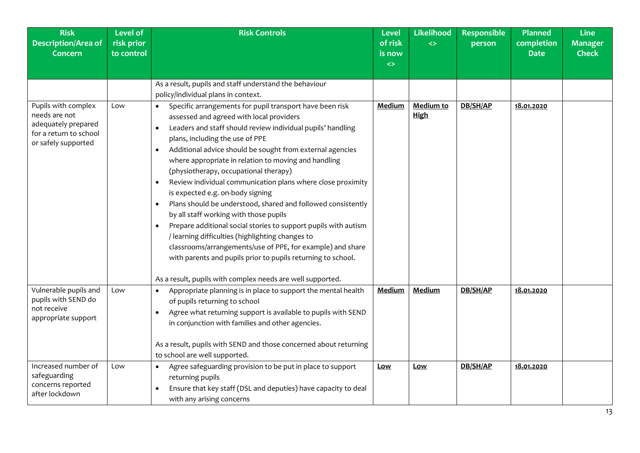| <b>Risk</b><br><b>Description/Area of</b><br><b>Concern</b>                                                  | <b>Level of</b><br>risk prior<br>to control | <b>Risk Controls</b>                                                                                                                                                                                                                                                                                                                                                                                                                                                                                                                                                                                                                                                                                                                                                                                                                                                          | Level<br>of risk<br>is now<br>$\leftrightarrow$ | Likelihood<br>$\leftrightarrow$ | <b>Responsible</b><br>person | <b>Planned</b><br>completion<br><b>Date</b> | <b>Line</b><br><b>Manager</b><br><b>Check</b> |
|--------------------------------------------------------------------------------------------------------------|---------------------------------------------|-------------------------------------------------------------------------------------------------------------------------------------------------------------------------------------------------------------------------------------------------------------------------------------------------------------------------------------------------------------------------------------------------------------------------------------------------------------------------------------------------------------------------------------------------------------------------------------------------------------------------------------------------------------------------------------------------------------------------------------------------------------------------------------------------------------------------------------------------------------------------------|-------------------------------------------------|---------------------------------|------------------------------|---------------------------------------------|-----------------------------------------------|
|                                                                                                              |                                             | As a result, pupils and staff understand the behaviour<br>policy/individual plans in context.                                                                                                                                                                                                                                                                                                                                                                                                                                                                                                                                                                                                                                                                                                                                                                                 |                                                 |                                 |                              |                                             |                                               |
| Pupils with complex<br>needs are not<br>adequately prepared<br>for a return to school<br>or safely supported | Low                                         | Specific arrangements for pupil transport have been risk<br>assessed and agreed with local providers<br>Leaders and staff should review individual pupils' handling<br>plans, including the use of PPE<br>Additional advice should be sought from external agencies<br>$\bullet$<br>where appropriate in relation to moving and handling<br>(physiotherapy, occupational therapy)<br>Review individual communication plans where close proximity<br>is expected e.g. on-body signing<br>Plans should be understood, shared and followed consistently<br>$\bullet$<br>by all staff working with those pupils<br>Prepare additional social stories to support pupils with autism<br>$\bullet$<br>/ learning difficulties (highlighting changes to<br>classrooms/arrangements/use of PPE, for example) and share<br>with parents and pupils prior to pupils returning to school. | Medium                                          | Medium to<br><b>High</b>        | DB/SH/AP                     | 18.01.2020                                  |                                               |
|                                                                                                              |                                             | As a result, pupils with complex needs are well supported.                                                                                                                                                                                                                                                                                                                                                                                                                                                                                                                                                                                                                                                                                                                                                                                                                    |                                                 |                                 |                              |                                             |                                               |
| Vulnerable pupils and<br>pupils with SEND do<br>not receive<br>appropriate support                           | Low                                         | Appropriate planning is in place to support the mental health<br>of pupils returning to school<br>Agree what returning support is available to pupils with SEND<br>$\bullet$<br>in conjunction with families and other agencies.<br>As a result, pupils with SEND and those concerned about returning<br>to school are well supported.                                                                                                                                                                                                                                                                                                                                                                                                                                                                                                                                        | Medium                                          | Medium                          | DB/SH/AP                     | 18.01.2020                                  |                                               |
| Increased number of<br>safeguarding<br>concerns reported<br>after lockdown                                   | Low                                         | Agree safeguarding provision to be put in place to support<br>returning pupils<br>Ensure that key staff (DSL and deputies) have capacity to deal<br>$\bullet$<br>with any arising concerns                                                                                                                                                                                                                                                                                                                                                                                                                                                                                                                                                                                                                                                                                    | Low                                             | <u>Low</u>                      | DB/SH/AP                     | 18.01.2020                                  |                                               |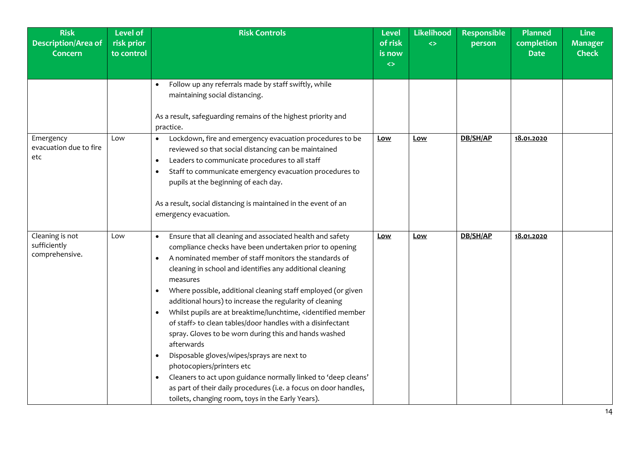| <b>Risk</b><br><b>Description/Area of</b><br><b>Concern</b> | <b>Level of</b><br>risk prior<br>to control | <b>Risk Controls</b>                                                                                                                                                                                                                                                                                                                                                                                                                                                                                                                                                                                                                                                                                                                                                                                                                                                                                                                                                                                                                                         | <b>Level</b><br>of risk<br>is now<br>$\leftrightarrow$ | <b>Likelihood</b><br>$\leftrightarrow$ | <b>Responsible</b><br>person | <b>Planned</b><br>completion<br><b>Date</b> | <b>Line</b><br><b>Manager</b><br><b>Check</b> |
|-------------------------------------------------------------|---------------------------------------------|--------------------------------------------------------------------------------------------------------------------------------------------------------------------------------------------------------------------------------------------------------------------------------------------------------------------------------------------------------------------------------------------------------------------------------------------------------------------------------------------------------------------------------------------------------------------------------------------------------------------------------------------------------------------------------------------------------------------------------------------------------------------------------------------------------------------------------------------------------------------------------------------------------------------------------------------------------------------------------------------------------------------------------------------------------------|--------------------------------------------------------|----------------------------------------|------------------------------|---------------------------------------------|-----------------------------------------------|
|                                                             |                                             | Follow up any referrals made by staff swiftly, while<br>$\bullet$<br>maintaining social distancing.<br>As a result, safeguarding remains of the highest priority and<br>practice.                                                                                                                                                                                                                                                                                                                                                                                                                                                                                                                                                                                                                                                                                                                                                                                                                                                                            |                                                        |                                        |                              |                                             |                                               |
| Emergency<br>evacuation due to fire<br>etc                  | Low                                         | Lockdown, fire and emergency evacuation procedures to be<br>$\bullet$<br>reviewed so that social distancing can be maintained<br>Leaders to communicate procedures to all staff<br>$\bullet$<br>Staff to communicate emergency evacuation procedures to<br>$\bullet$<br>pupils at the beginning of each day.<br>As a result, social distancing is maintained in the event of an<br>emergency evacuation.                                                                                                                                                                                                                                                                                                                                                                                                                                                                                                                                                                                                                                                     | Low                                                    | Low                                    | DB/SH/AP                     | 18.01.2020                                  |                                               |
| Cleaning is not<br>sufficiently<br>comprehensive.           | Low                                         | Ensure that all cleaning and associated health and safety<br>$\bullet$<br>compliance checks have been undertaken prior to opening<br>A nominated member of staff monitors the standards of<br>$\bullet$<br>cleaning in school and identifies any additional cleaning<br>measures<br>Where possible, additional cleaning staff employed (or given<br>$\bullet$<br>additional hours) to increase the regularity of cleaning<br>Whilst pupils are at breaktime/lunchtime, <identified member<br=""><math display="inline">\bullet</math><br/>of staff&gt; to clean tables/door handles with a disinfectant<br/>spray. Gloves to be worn during this and hands washed<br/>afterwards<br/>Disposable gloves/wipes/sprays are next to<br/><math display="inline">\bullet</math><br/>photocopiers/printers etc<br/>Cleaners to act upon guidance normally linked to 'deep cleans'<br/><math display="inline">\bullet</math><br/>as part of their daily procedures (i.e. a focus on door handles,<br/>toilets, changing room, toys in the Early Years).</identified> | Low                                                    | Low                                    | DB/SH/AP                     | 18.01.2020                                  |                                               |